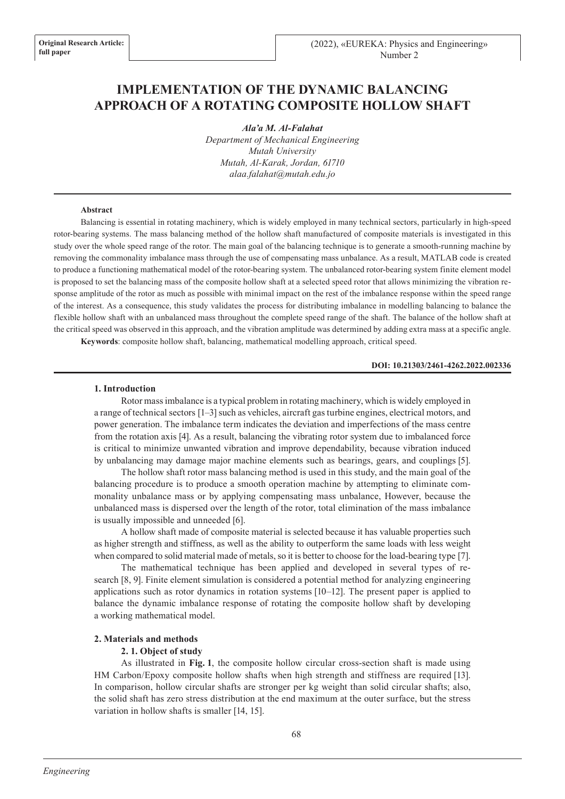# **IMPLEMENTATION OF THE DYNAMIC BALANCING APPROACH OF A ROTATING COMPOSITE HOLLOW SHAFT**

*Ala'a M. Al-Falahat*

*Department of Mechanical Engineering Mutah University Mutah, Al-Karak, Jordan, 61710 alaa.falahat@mutah.edu.jo*

#### **Abstract**

Balancing is essential in rotating machinery, which is widely employed in many technical sectors, particularly in high-speed rotor-bearing systems. The mass balancing method of the hollow shaft manufactured of composite materials is investigated in this study over the whole speed range of the rotor. The main goal of the balancing technique is to generate a smooth-running machine by removing the commonality imbalance mass through the use of compensating mass unbalance. As a result, MATLAB code is created to produce a functioning mathematical model of the rotor-bearing system. The unbalanced rotor-bearing system finite element model is proposed to set the balancing mass of the composite hollow shaft at a selected speed rotor that allows minimizing the vibration response amplitude of the rotor as much as possible with minimal impact on the rest of the imbalance response within the speed range of the interest. As a consequence, this study validates the process for distributing imbalance in modelling balancing to balance the flexible hollow shaft with an unbalanced mass throughout the complete speed range of the shaft. The balance of the hollow shaft at the critical speed was observed in this approach, and the vibration amplitude was determined by adding extra mass at a specific angle. **Keywords**: composite hollow shaft, balancing, mathematical modelling approach, critical speed.

**DOI: 10.21303/2461-4262.2022.002336**

#### **1. Introduction**

Rotor mass imbalance is a typical problem in rotating machinery, which is widely employed in a range of technical sectors [1–3] such as vehicles, aircraft gas turbine engines, electrical motors, and power generation. The imbalance term indicates the deviation and imperfections of the mass centre from the rotation axis [4]. As a result, balancing the vibrating rotor system due to imbalanced force is critical to minimize unwanted vibration and improve dependability, because vibration induced by unbalancing may damage major machine elements such as bearings, gears, and couplings [5].

The hollow shaft rotor mass balancing method is used in this study, and the main goal of the balancing procedure is to produce a smooth operation machine by attempting to eliminate commonality unbalance mass or by applying compensating mass unbalance, However, because the unbalanced mass is dispersed over the length of the rotor, total elimination of the mass imbalance is usually impossible and unneeded [6].

A hollow shaft made of composite material is selected because it has valuable properties such as higher strength and stiffness, as well as the ability to outperform the same loads with less weight when compared to solid material made of metals, so it is better to choose for the load-bearing type [7].

The mathematical technique has been applied and developed in several types of research [8, 9]. Finite element simulation is considered a potential method for analyzing engineering applications such as rotor dynamics in rotation systems [10–12]. The present paper is applied to balance the dynamic imbalance response of rotating the composite hollow shaft by developing a working mathematical model.

#### **2. Materials and methods**

#### **2. 1. Object of study**

As illustrated in **Fig. 1**, the composite hollow circular cross-section shaft is made using HM Carbon/Epoxy composite hollow shafts when high strength and stiffness are required [13]. In comparison, hollow circular shafts are stronger per kg weight than solid circular shafts; also, the solid shaft has zero stress distribution at the end maximum at the outer surface, but the stress variation in hollow shafts is smaller [14, 15].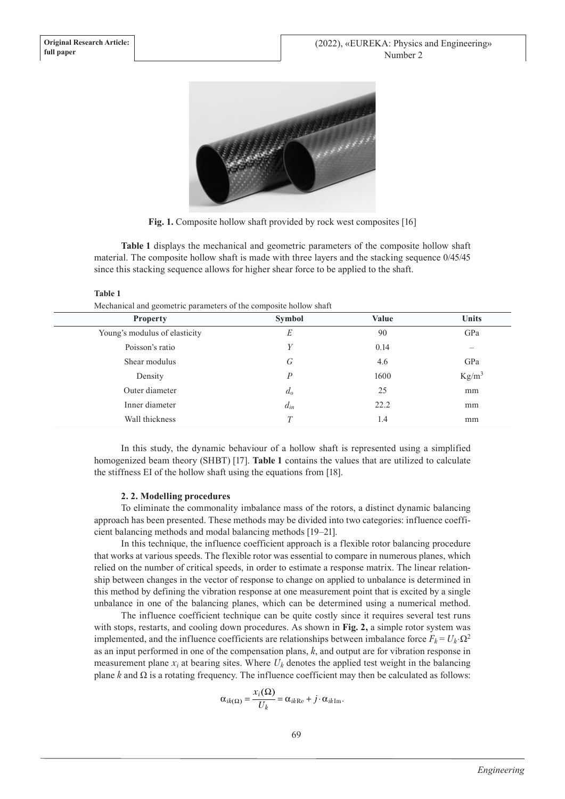

**Fig. 1.** Composite hollow shaft provided by rock west composites [16]

**Table 1** displays the mechanical and geometric parameters of the composite hollow shaft material. The composite hollow shaft is made with three layers and the stacking sequence 0/45/45 since this stacking sequence allows for higher shear force to be applied to the shaft.

#### **Table 1**

Mechanical and geometric parameters of the composite hollow shaft

| <b>Property</b>               | <b>Symbol</b>    | <b>Value</b> | <b>Units</b> |
|-------------------------------|------------------|--------------|--------------|
| Young's modulus of elasticity | E                | 90           | GPa          |
| Poisson's ratio               | Y                | 0.14         |              |
| Shear modulus                 | G                | 4.6          | GPa          |
| Density                       | $\boldsymbol{P}$ | 1600         | $Kg/m^3$     |
| Outer diameter                | $d_0$            | 25           | mm           |
| Inner diameter                | $d_{in}$         | 22.2         | mm           |
| Wall thickness                | T                | 1.4          | mm           |

In this study, the dynamic behaviour of a hollow shaft is represented using a simplified homogenized beam theory (SHBT) [17]. **Table 1** contains the values that are utilized to calculate the stiffness EI of the hollow shaft using the equations from [18].

#### **2. 2. Modelling procedures**

To eliminate the commonality imbalance mass of the rotors, a distinct dynamic balancing approach has been presented. These methods may be divided into two categories: influence coefficient balancing methods and modal balancing methods [19–21].

In this technique, the influence coefficient approach is a flexible rotor balancing procedure that works at various speeds. The flexible rotor was essential to compare in numerous planes, which relied on the number of critical speeds, in order to estimate a response matrix. The linear relationship between changes in the vector of response to change on applied to unbalance is determined in this method by defining the vibration response at one measurement point that is excited by a single unbalance in one of the balancing planes, which can be determined using a numerical method.

The influence coefficient technique can be quite costly since it requires several test runs with stops, restarts, and cooling down procedures. As shown in **Fig. 2,** a simple rotor system was implemented, and the influence coefficients are relationships between imbalance force  $F_k = U_k \cdot \Omega^2$ as an input performed in one of the compensation plans, *k*, and output are for vibration response in measurement plane  $x_i$  at bearing sites. Where  $U_k$  denotes the applied test weight in the balancing plane  $k$  and  $\Omega$  is a rotating frequency. The influence coefficient may then be calculated as follows:

$$
\alpha_{ik(\Omega)} = \frac{x_i(\Omega)}{U_k} = \alpha_{ik\text{Re}} + j \cdot \alpha_{ik\text{Im}}.
$$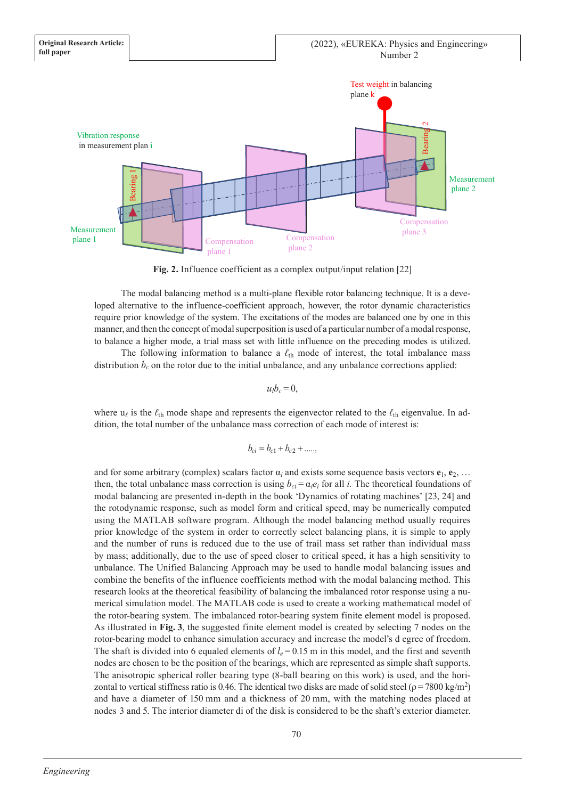

**Fig. 2.** Influence coefficient as a complex output/input relation [22]

The modal balancing method is a multi-plane flexible rotor balancing technique. It is a developed alternative to the influence-coefficient approach, however, the rotor dynamic characteristics require prior knowledge of the system. The excitations of the modes are balanced one by one in this manner, and then the concept of modal superposition is used of a particular number of a modal response, to balance a higher mode, a trial mass set with little influence on the preceding modes is utilized.

The following information to balance a  $\ell_{th}$  mode of interest, the total imbalance mass distribution  $b_c$  on the rotor due to the initial unbalance, and any unbalance corrections applied:

 $u<sub>i</sub>b<sub>c</sub> = 0$ ,

where  $u_\ell$  is the  $\ell_{th}$  mode shape and represents the eigenvector related to the  $\ell_{th}$  eigenvalue. In addition, the total number of the unbalance mass correction of each mode of interest is:

$$
b_{ci} = b_{c1} + b_{c2} + \dots,
$$

and for some arbitrary (complex) scalars factor  $\alpha_i$  and exists some sequence basis vectors  $\mathbf{e}_1, \mathbf{e}_2, \ldots$ then, the total unbalance mass correction is using  $b_{ci} = \alpha_i e_i$  for all *i*. The theoretical foundations of modal balancing are presented in-depth in the book 'Dynamics of rotating machines' [23, 24] and the rotodynamic response, such as model form and critical speed, may be numerically computed using the MATLAB software program. Although the model balancing method usually requires prior knowledge of the system in order to correctly select balancing plans, it is simple to apply and the number of runs is reduced due to the use of trail mass set rather than individual mass by mass; additionally, due to the use of speed closer to critical speed, it has a high sensitivity to unbalance. The Unified Balancing Approach may be used to handle modal balancing issues and combine the benefits of the influence coefficients method with the modal balancing method. This research looks at the theoretical feasibility of balancing the imbalanced rotor response using a numerical simulation model. The MATLAB code is used to create a working mathematical model of the rotor-bearing system. The imbalanced rotor-bearing system finite element model is proposed. As illustrated in **Fig. 3**, the suggested finite element model is created by selecting 7 nodes on the rotor-bearing model to enhance simulation accuracy and increase the model's d egree of freedom. The shaft is divided into 6 equaled elements of  $l_e = 0.15$  m in this model, and the first and seventh nodes are chosen to be the position of the bearings, which are represented as simple shaft supports. The anisotropic spherical roller bearing type (8-ball bearing on this work) is used, and the horizontal to vertical stiffness ratio is 0.46. The identical two disks are made of solid steel ( $\rho$  = 7800 kg/m<sup>2</sup>) and have a diameter of 150 mm and a thickness of 20 mm, with the matching nodes placed at notestics of the interior of the interior of the interior of the interior of the interior of the interior of the interior of the interior of the disk is considered to be the shaft's exterior of the disk is considered to b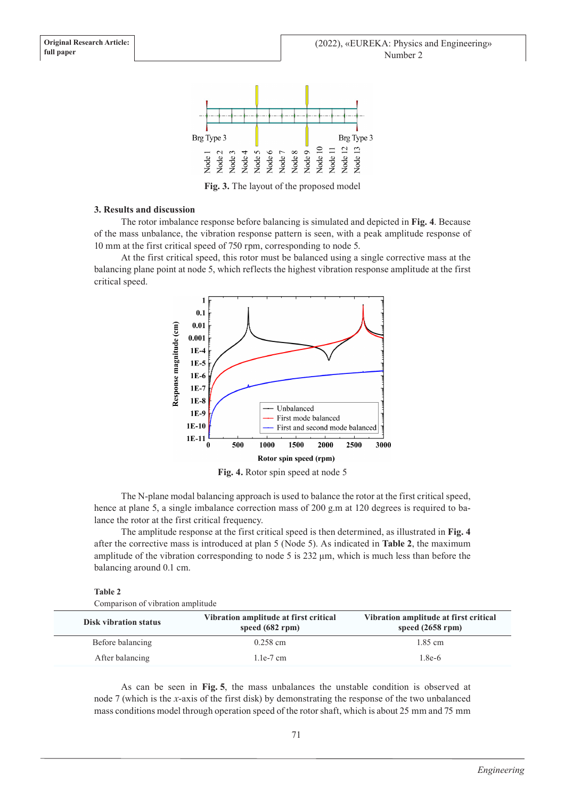

**Fig. 3.** The layout of the proposed model

### **3. Results and discussion**

The rotor imbalance response before balancing is simulated and depicted in **Fig. 4**. Because of the mass unbalance, the vibration response pattern is seen, with a peak amplitude response of 10 mm at the first critical speed of 750 rpm, corresponding to node 5.

At the first critical speed, this rotor must be balanced using a single corrective mass at the balancing plane point at node 5, which reflects the highest vibration response amplitude at the first critical speed.



**Fig. 4.** Rotor spin speed at node 5

The N-plane modal balancing approach is used to balance the rotor at the first critical speed, hence at plane 5, a single imbalance correction mass of 200 g.m at 120 degrees is required to balance the rotor at the first critical frequency.

The amplitude response at the first critical speed is then determined, as illustrated in **Fig. 4** after the corrective mass is introduced at plan 5 (Node 5). As indicated in **Table 2**, the maximum amplitude of the vibration corresponding to node 5 is 232  $\mu$ m, which is much less than before the balancing around 0.1 cm.

#### **Table 2**

Comparison of vibration amplitude

| <b>Disk vibration status</b> | Vibration amplitude at first critical<br>speed $(682$ rpm $)$ | Vibration amplitude at first critical<br>speed $(2658$ rpm $)$ |
|------------------------------|---------------------------------------------------------------|----------------------------------------------------------------|
| Before balancing             | $0.258$ cm                                                    | 1.85 cm                                                        |
| After balancing              | 1.1e-7 cm                                                     | $1.8e-6$                                                       |

As can be seen in **Fig. 5**, the mass unbalances the unstable condition is observed at node 7 (which is the *x*-axis of the first disk) by demonstrating the response of the two unbalanced mass conditions model through operation speed of the rotor shaft, which is about 25 mm and 75 mm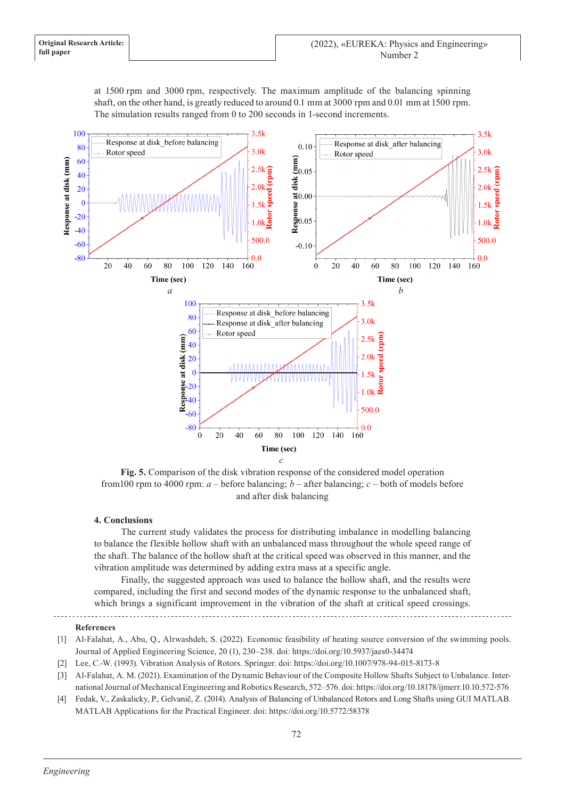at 1500 rpm and 3000 rpm, respectively. The maximum amplitude of the balancing spinning shaft, on the other hand, is greatly reduced to around 0.1 mm at 3000 rpm and 0.01 mm at 1500 rpm. The simulation results ranged from 0 to 200 seconds in 1-second increments.



**Fig. 5.** Comparison of the disk vibration response of the considered model operation from 100 rpm to 4000 rpm:  $a$  – before balancing;  $b$  – after balancing;  $c$  – both of models before and after disk balancing

## **4. Conclusions**

The current study validates the process for distributing imbalance in modelling balancing to balance the flexible hollow shaft with an unbalanced mass throughout the whole speed range of the shaft. The balance of the hollow shaft at the critical speed was observed in this manner, and the vibration amplitude was determined by adding extra mass at a specific angle.

Finally, the suggested approach was used to balance the hollow shaft, and the results were compared, including the first and second modes of the dynamic response to the unbalanced shaft, which brings a significant improvement in the vibration of the shaft at critical speed crossings.

# **References**

- [1] Al-Falahat, A., Abu, Q., Alrwashdeh, S. (2022). Economic feasibility of heating source conversion of the swimming pools. Journal of Applied Engineering Science, 20 (1), 230–238. doi: https://doi.org/10.5937/jaes0-34474
- [2] Lee, C.-W. (1993). Vibration Analysis of Rotors. Springer. doi: https://doi.org/10.1007/978-94-015-8173-8
- [3] Al-Falahat, A. M. (2021). Examination of the Dynamic Behaviour of the Composite Hollow Shafts Subject to Unbalance. International Journal of Mechanical Engineering and Robotics Research, 572–576. doi: https://doi.org/10.18178/ijmerr.10.10.572-576
- [4] Fedak, V., Zaskalicky, P., Gelvanič, Z. (2014). Analysis of Balancing of Unbalanced Rotors and Long Shafts using GUI MATLAB. MATLAB Applications for the Practical Engineer. doi: https://doi.org/10.5772/58378